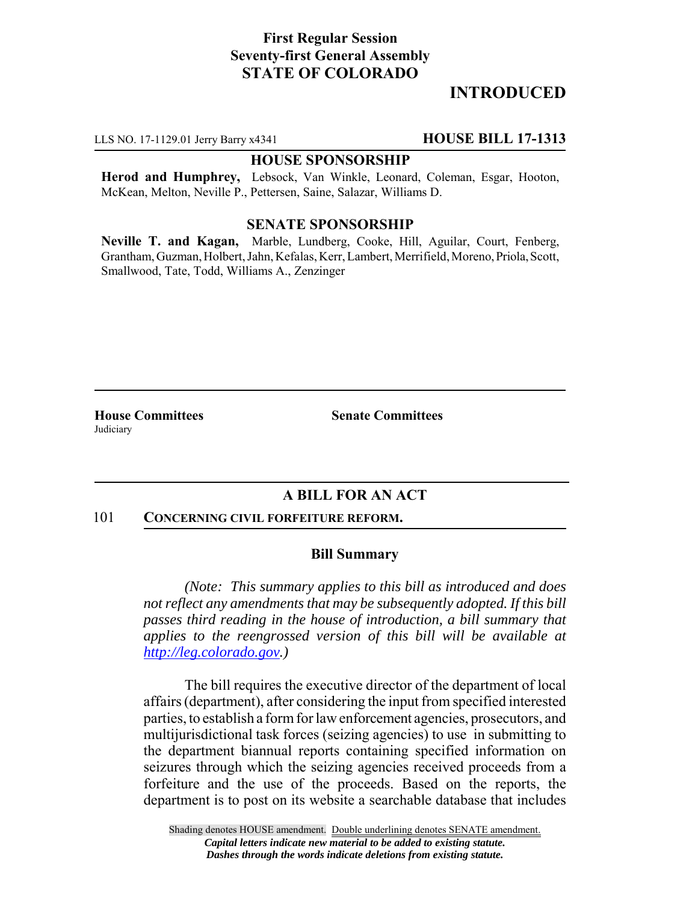# **First Regular Session Seventy-first General Assembly STATE OF COLORADO**

# **INTRODUCED**

LLS NO. 17-1129.01 Jerry Barry x4341 **HOUSE BILL 17-1313**

### **HOUSE SPONSORSHIP**

**Herod and Humphrey,** Lebsock, Van Winkle, Leonard, Coleman, Esgar, Hooton, McKean, Melton, Neville P., Pettersen, Saine, Salazar, Williams D.

## **SENATE SPONSORSHIP**

**Neville T. and Kagan,** Marble, Lundberg, Cooke, Hill, Aguilar, Court, Fenberg, Grantham, Guzman, Holbert, Jahn, Kefalas, Kerr, Lambert, Merrifield, Moreno, Priola, Scott, Smallwood, Tate, Todd, Williams A., Zenzinger

**Judiciary** 

**House Committees Senate Committees** 

## **A BILL FOR AN ACT**

#### 101 **CONCERNING CIVIL FORFEITURE REFORM.**

#### **Bill Summary**

*(Note: This summary applies to this bill as introduced and does not reflect any amendments that may be subsequently adopted. If this bill passes third reading in the house of introduction, a bill summary that applies to the reengrossed version of this bill will be available at http://leg.colorado.gov.)*

The bill requires the executive director of the department of local affairs (department), after considering the input from specified interested parties, to establish a form for law enforcement agencies, prosecutors, and multijurisdictional task forces (seizing agencies) to use in submitting to the department biannual reports containing specified information on seizures through which the seizing agencies received proceeds from a forfeiture and the use of the proceeds. Based on the reports, the department is to post on its website a searchable database that includes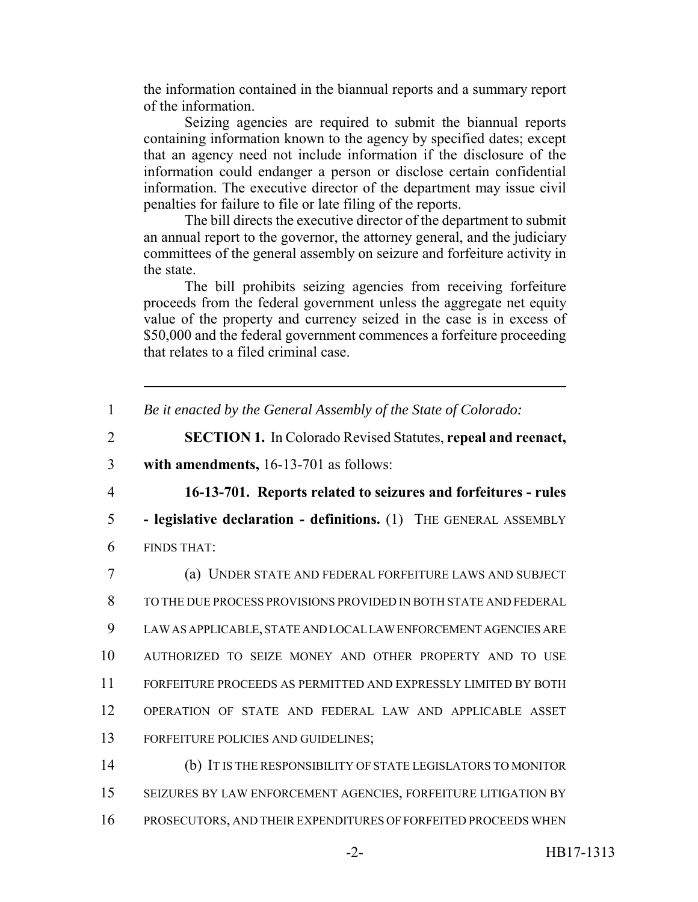the information contained in the biannual reports and a summary report of the information.

Seizing agencies are required to submit the biannual reports containing information known to the agency by specified dates; except that an agency need not include information if the disclosure of the information could endanger a person or disclose certain confidential information. The executive director of the department may issue civil penalties for failure to file or late filing of the reports.

The bill directs the executive director of the department to submit an annual report to the governor, the attorney general, and the judiciary committees of the general assembly on seizure and forfeiture activity in the state.

The bill prohibits seizing agencies from receiving forfeiture proceeds from the federal government unless the aggregate net equity value of the property and currency seized in the case is in excess of \$50,000 and the federal government commences a forfeiture proceeding that relates to a filed criminal case.

1 *Be it enacted by the General Assembly of the State of Colorado:*

2 **SECTION 1.** In Colorado Revised Statutes, **repeal and reenact,**

3 **with amendments,** 16-13-701 as follows:

4 **16-13-701. Reports related to seizures and forfeitures - rules**

5 **- legislative declaration - definitions.** (1) THE GENERAL ASSEMBLY

6 FINDS THAT:

 (a) UNDER STATE AND FEDERAL FORFEITURE LAWS AND SUBJECT TO THE DUE PROCESS PROVISIONS PROVIDED IN BOTH STATE AND FEDERAL LAW AS APPLICABLE, STATE AND LOCAL LAW ENFORCEMENT AGENCIES ARE AUTHORIZED TO SEIZE MONEY AND OTHER PROPERTY AND TO USE FORFEITURE PROCEEDS AS PERMITTED AND EXPRESSLY LIMITED BY BOTH OPERATION OF STATE AND FEDERAL LAW AND APPLICABLE ASSET FORFEITURE POLICIES AND GUIDELINES; (b) IT IS THE RESPONSIBILITY OF STATE LEGISLATORS TO MONITOR

15 SEIZURES BY LAW ENFORCEMENT AGENCIES, FORFEITURE LITIGATION BY 16 PROSECUTORS, AND THEIR EXPENDITURES OF FORFEITED PROCEEDS WHEN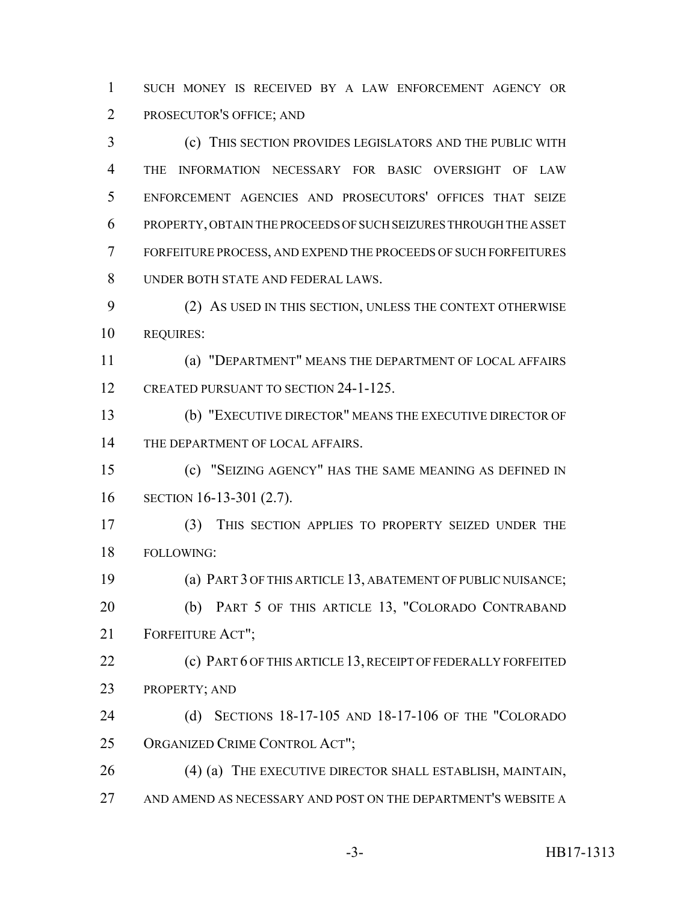SUCH MONEY IS RECEIVED BY A LAW ENFORCEMENT AGENCY OR PROSECUTOR'S OFFICE; AND

 (c) THIS SECTION PROVIDES LEGISLATORS AND THE PUBLIC WITH THE INFORMATION NECESSARY FOR BASIC OVERSIGHT OF LAW ENFORCEMENT AGENCIES AND PROSECUTORS' OFFICES THAT SEIZE PROPERTY, OBTAIN THE PROCEEDS OF SUCH SEIZURES THROUGH THE ASSET FORFEITURE PROCESS, AND EXPEND THE PROCEEDS OF SUCH FORFEITURES UNDER BOTH STATE AND FEDERAL LAWS.

 (2) AS USED IN THIS SECTION, UNLESS THE CONTEXT OTHERWISE REQUIRES:

 (a) "DEPARTMENT" MEANS THE DEPARTMENT OF LOCAL AFFAIRS 12 CREATED PURSUANT TO SECTION 24-1-125.

 (b) "EXECUTIVE DIRECTOR" MEANS THE EXECUTIVE DIRECTOR OF 14 THE DEPARTMENT OF LOCAL AFFAIRS.

 (c) "SEIZING AGENCY" HAS THE SAME MEANING AS DEFINED IN SECTION 16-13-301 (2.7).

 (3) THIS SECTION APPLIES TO PROPERTY SEIZED UNDER THE FOLLOWING:

 (a) PART 3 OF THIS ARTICLE 13, ABATEMENT OF PUBLIC NUISANCE; (b) PART 5 OF THIS ARTICLE 13, "COLORADO CONTRABAND FORFEITURE ACT";

 (c) PART 6 OF THIS ARTICLE 13, RECEIPT OF FEDERALLY FORFEITED PROPERTY; AND

 (d) SECTIONS 18-17-105 AND 18-17-106 OF THE "COLORADO ORGANIZED CRIME CONTROL ACT";

26 (4) (a) THE EXECUTIVE DIRECTOR SHALL ESTABLISH, MAINTAIN, AND AMEND AS NECESSARY AND POST ON THE DEPARTMENT'S WEBSITE A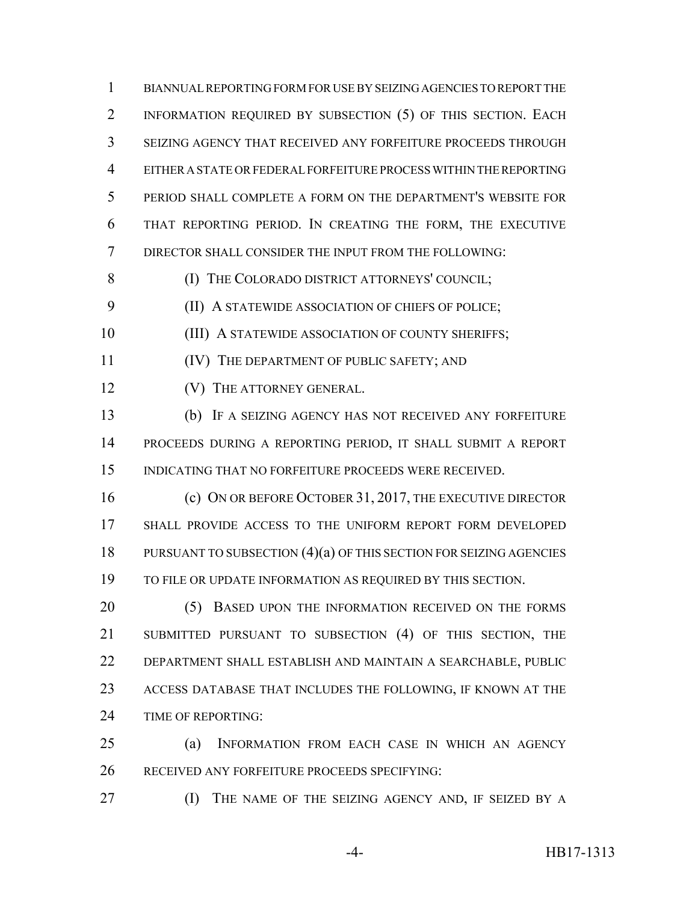BIANNUAL REPORTING FORM FOR USE BY SEIZING AGENCIES TO REPORT THE INFORMATION REQUIRED BY SUBSECTION (5) OF THIS SECTION. EACH SEIZING AGENCY THAT RECEIVED ANY FORFEITURE PROCEEDS THROUGH EITHER A STATE OR FEDERAL FORFEITURE PROCESS WITHIN THE REPORTING PERIOD SHALL COMPLETE A FORM ON THE DEPARTMENT'S WEBSITE FOR THAT REPORTING PERIOD. IN CREATING THE FORM, THE EXECUTIVE DIRECTOR SHALL CONSIDER THE INPUT FROM THE FOLLOWING:

**(I) THE COLORADO DISTRICT ATTORNEYS' COUNCIL;** 

(II) A STATEWIDE ASSOCIATION OF CHIEFS OF POLICE;

10 (III) A STATEWIDE ASSOCIATION OF COUNTY SHERIFFS;

(IV) THE DEPARTMENT OF PUBLIC SAFETY; AND

**(V)** THE ATTORNEY GENERAL.

 (b) IF A SEIZING AGENCY HAS NOT RECEIVED ANY FORFEITURE PROCEEDS DURING A REPORTING PERIOD, IT SHALL SUBMIT A REPORT INDICATING THAT NO FORFEITURE PROCEEDS WERE RECEIVED.

16 (c) ON OR BEFORE OCTOBER 31, 2017, THE EXECUTIVE DIRECTOR SHALL PROVIDE ACCESS TO THE UNIFORM REPORT FORM DEVELOPED 18 PURSUANT TO SUBSECTION (4)(a) OF THIS SECTION FOR SEIZING AGENCIES TO FILE OR UPDATE INFORMATION AS REQUIRED BY THIS SECTION.

20 (5) BASED UPON THE INFORMATION RECEIVED ON THE FORMS SUBMITTED PURSUANT TO SUBSECTION (4) OF THIS SECTION, THE DEPARTMENT SHALL ESTABLISH AND MAINTAIN A SEARCHABLE, PUBLIC ACCESS DATABASE THAT INCLUDES THE FOLLOWING, IF KNOWN AT THE TIME OF REPORTING:

 (a) INFORMATION FROM EACH CASE IN WHICH AN AGENCY RECEIVED ANY FORFEITURE PROCEEDS SPECIFYING:

(I) THE NAME OF THE SEIZING AGENCY AND, IF SEIZED BY A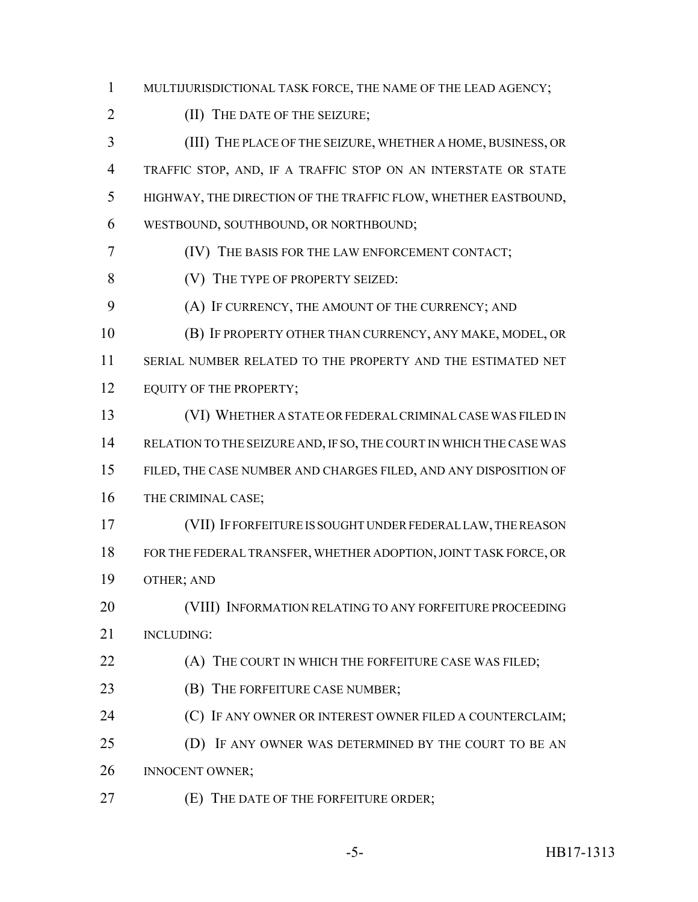MULTIJURISDICTIONAL TASK FORCE, THE NAME OF THE LEAD AGENCY;

2 (II) THE DATE OF THE SEIZURE;

 (III) THE PLACE OF THE SEIZURE, WHETHER A HOME, BUSINESS, OR TRAFFIC STOP, AND, IF A TRAFFIC STOP ON AN INTERSTATE OR STATE HIGHWAY, THE DIRECTION OF THE TRAFFIC FLOW, WHETHER EASTBOUND, WESTBOUND, SOUTHBOUND, OR NORTHBOUND;

(IV) THE BASIS FOR THE LAW ENFORCEMENT CONTACT;

**(V)** THE TYPE OF PROPERTY SEIZED:

(A) IF CURRENCY, THE AMOUNT OF THE CURRENCY; AND

 (B) IF PROPERTY OTHER THAN CURRENCY, ANY MAKE, MODEL, OR SERIAL NUMBER RELATED TO THE PROPERTY AND THE ESTIMATED NET

12 EQUITY OF THE PROPERTY;

 (VI) WHETHER A STATE OR FEDERAL CRIMINAL CASE WAS FILED IN 14 RELATION TO THE SEIZURE AND, IF SO, THE COURT IN WHICH THE CASE WAS FILED, THE CASE NUMBER AND CHARGES FILED, AND ANY DISPOSITION OF THE CRIMINAL CASE;

 (VII) IF FORFEITURE IS SOUGHT UNDER FEDERAL LAW, THE REASON FOR THE FEDERAL TRANSFER, WHETHER ADOPTION, JOINT TASK FORCE, OR OTHER; AND

 (VIII) INFORMATION RELATING TO ANY FORFEITURE PROCEEDING INCLUDING:

**(A)** THE COURT IN WHICH THE FORFEITURE CASE WAS FILED;

**(B)** THE FORFEITURE CASE NUMBER;

**(C)** IF ANY OWNER OR INTEREST OWNER FILED A COUNTERCLAIM;

25 (D) IF ANY OWNER WAS DETERMINED BY THE COURT TO BE AN **INNOCENT OWNER**;

(E) THE DATE OF THE FORFEITURE ORDER;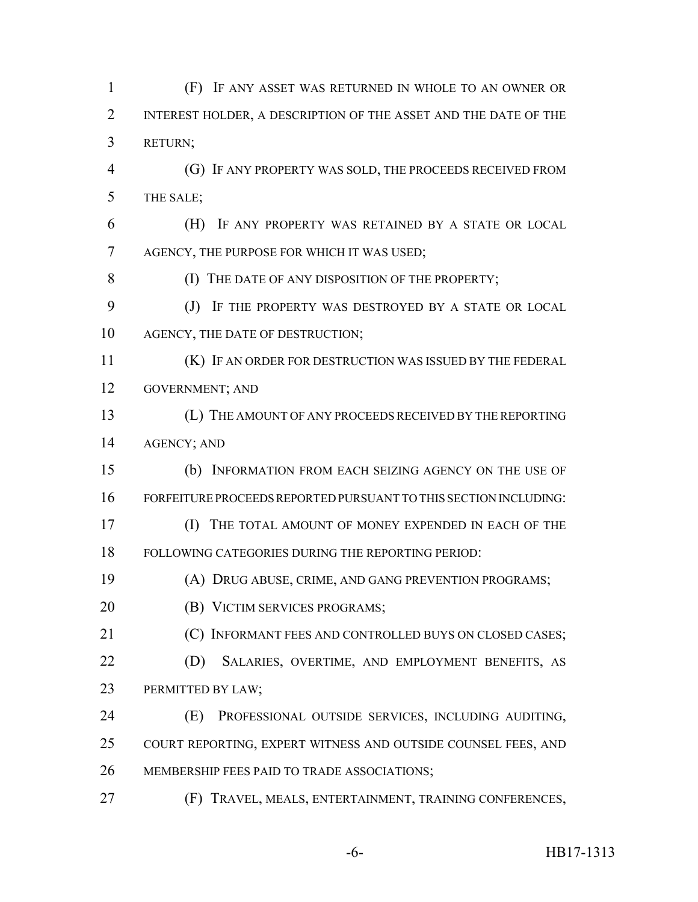(F) IF ANY ASSET WAS RETURNED IN WHOLE TO AN OWNER OR INTEREST HOLDER, A DESCRIPTION OF THE ASSET AND THE DATE OF THE RETURN; (G) IF ANY PROPERTY WAS SOLD, THE PROCEEDS RECEIVED FROM THE SALE; (H) IF ANY PROPERTY WAS RETAINED BY A STATE OR LOCAL AGENCY, THE PURPOSE FOR WHICH IT WAS USED; 8 (I) THE DATE OF ANY DISPOSITION OF THE PROPERTY; (J) IF THE PROPERTY WAS DESTROYED BY A STATE OR LOCAL 10 AGENCY, THE DATE OF DESTRUCTION; (K) IF AN ORDER FOR DESTRUCTION WAS ISSUED BY THE FEDERAL GOVERNMENT; AND (L) THE AMOUNT OF ANY PROCEEDS RECEIVED BY THE REPORTING AGENCY; AND (b) INFORMATION FROM EACH SEIZING AGENCY ON THE USE OF FORFEITURE PROCEEDS REPORTED PURSUANT TO THIS SECTION INCLUDING: (I) THE TOTAL AMOUNT OF MONEY EXPENDED IN EACH OF THE FOLLOWING CATEGORIES DURING THE REPORTING PERIOD: (A) DRUG ABUSE, CRIME, AND GANG PREVENTION PROGRAMS; (B) VICTIM SERVICES PROGRAMS; (C) INFORMANT FEES AND CONTROLLED BUYS ON CLOSED CASES; (D) SALARIES, OVERTIME, AND EMPLOYMENT BENEFITS, AS PERMITTED BY LAW; (E) PROFESSIONAL OUTSIDE SERVICES, INCLUDING AUDITING, COURT REPORTING, EXPERT WITNESS AND OUTSIDE COUNSEL FEES, AND MEMBERSHIP FEES PAID TO TRADE ASSOCIATIONS; (F) TRAVEL, MEALS, ENTERTAINMENT, TRAINING CONFERENCES,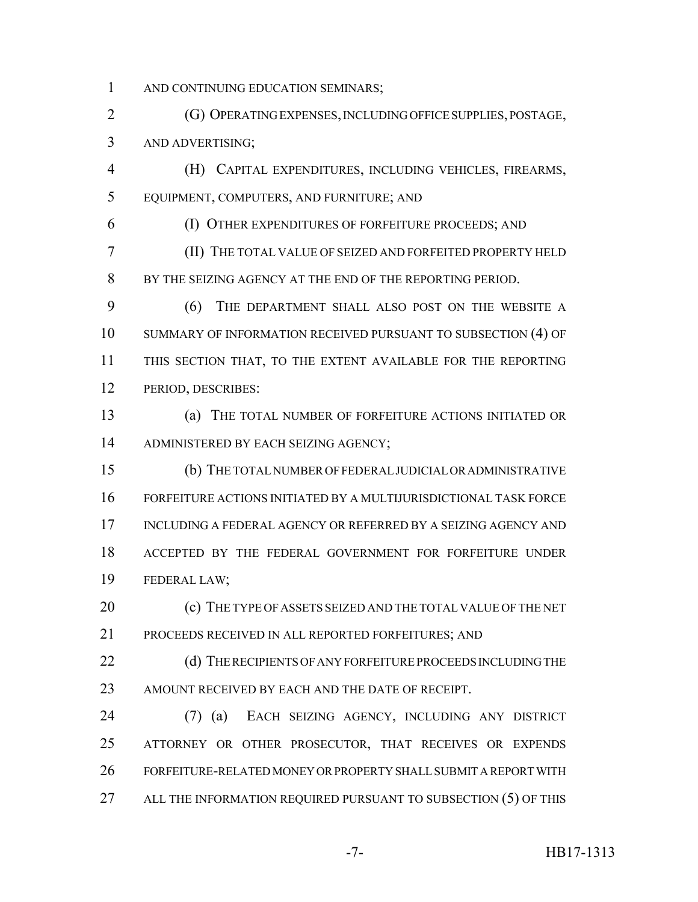1 AND CONTINUING EDUCATION SEMINARS;

 (G) OPERATING EXPENSES, INCLUDING OFFICE SUPPLIES, POSTAGE, AND ADVERTISING;

 (H) CAPITAL EXPENDITURES, INCLUDING VEHICLES, FIREARMS, EQUIPMENT, COMPUTERS, AND FURNITURE; AND

(I) OTHER EXPENDITURES OF FORFEITURE PROCEEDS; AND

 (II) THE TOTAL VALUE OF SEIZED AND FORFEITED PROPERTY HELD BY THE SEIZING AGENCY AT THE END OF THE REPORTING PERIOD.

 (6) THE DEPARTMENT SHALL ALSO POST ON THE WEBSITE A SUMMARY OF INFORMATION RECEIVED PURSUANT TO SUBSECTION (4) OF THIS SECTION THAT, TO THE EXTENT AVAILABLE FOR THE REPORTING PERIOD, DESCRIBES:

 (a) THE TOTAL NUMBER OF FORFEITURE ACTIONS INITIATED OR ADMINISTERED BY EACH SEIZING AGENCY;

 (b) THE TOTAL NUMBER OF FEDERAL JUDICIAL OR ADMINISTRATIVE FORFEITURE ACTIONS INITIATED BY A MULTIJURISDICTIONAL TASK FORCE INCLUDING A FEDERAL AGENCY OR REFERRED BY A SEIZING AGENCY AND ACCEPTED BY THE FEDERAL GOVERNMENT FOR FORFEITURE UNDER FEDERAL LAW;

 (c) THE TYPE OF ASSETS SEIZED AND THE TOTAL VALUE OF THE NET PROCEEDS RECEIVED IN ALL REPORTED FORFEITURES; AND

22 (d) THE RECIPIENTS OF ANY FORFEITURE PROCEEDS INCLUDING THE 23 AMOUNT RECEIVED BY EACH AND THE DATE OF RECEIPT.

 (7) (a) EACH SEIZING AGENCY, INCLUDING ANY DISTRICT ATTORNEY OR OTHER PROSECUTOR, THAT RECEIVES OR EXPENDS FORFEITURE-RELATED MONEY OR PROPERTY SHALL SUBMIT A REPORT WITH 27 ALL THE INFORMATION REQUIRED PURSUANT TO SUBSECTION (5) OF THIS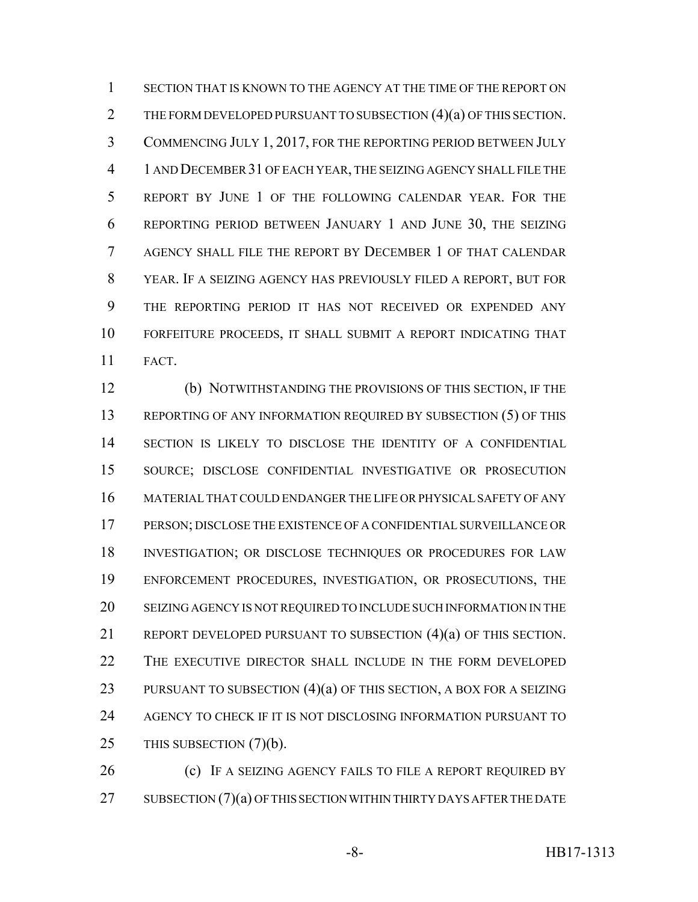SECTION THAT IS KNOWN TO THE AGENCY AT THE TIME OF THE REPORT ON 2 THE FORM DEVELOPED PURSUANT TO SUBSECTION (4)(a) OF THIS SECTION. COMMENCING JULY 1, 2017, FOR THE REPORTING PERIOD BETWEEN JULY 1 AND DECEMBER 31 OF EACH YEAR, THE SEIZING AGENCY SHALL FILE THE REPORT BY JUNE 1 OF THE FOLLOWING CALENDAR YEAR. FOR THE REPORTING PERIOD BETWEEN JANUARY 1 AND JUNE 30, THE SEIZING AGENCY SHALL FILE THE REPORT BY DECEMBER 1 OF THAT CALENDAR YEAR. IF A SEIZING AGENCY HAS PREVIOUSLY FILED A REPORT, BUT FOR THE REPORTING PERIOD IT HAS NOT RECEIVED OR EXPENDED ANY FORFEITURE PROCEEDS, IT SHALL SUBMIT A REPORT INDICATING THAT FACT.

 (b) NOTWITHSTANDING THE PROVISIONS OF THIS SECTION, IF THE REPORTING OF ANY INFORMATION REQUIRED BY SUBSECTION (5) OF THIS SECTION IS LIKELY TO DISCLOSE THE IDENTITY OF A CONFIDENTIAL SOURCE; DISCLOSE CONFIDENTIAL INVESTIGATIVE OR PROSECUTION MATERIAL THAT COULD ENDANGER THE LIFE OR PHYSICAL SAFETY OF ANY PERSON; DISCLOSE THE EXISTENCE OF A CONFIDENTIAL SURVEILLANCE OR INVESTIGATION; OR DISCLOSE TECHNIQUES OR PROCEDURES FOR LAW ENFORCEMENT PROCEDURES, INVESTIGATION, OR PROSECUTIONS, THE SEIZING AGENCY IS NOT REQUIRED TO INCLUDE SUCH INFORMATION IN THE REPORT DEVELOPED PURSUANT TO SUBSECTION (4)(a) OF THIS SECTION. THE EXECUTIVE DIRECTOR SHALL INCLUDE IN THE FORM DEVELOPED 23 PURSUANT TO SUBSECTION (4)(a) OF THIS SECTION, A BOX FOR A SEIZING AGENCY TO CHECK IF IT IS NOT DISCLOSING INFORMATION PURSUANT TO THIS SUBSECTION (7)(b).

**(c)** IF A SEIZING AGENCY FAILS TO FILE A REPORT REQUIRED BY 27 SUBSECTION (7)(a) OF THIS SECTION WITHIN THIRTY DAYS AFTER THE DATE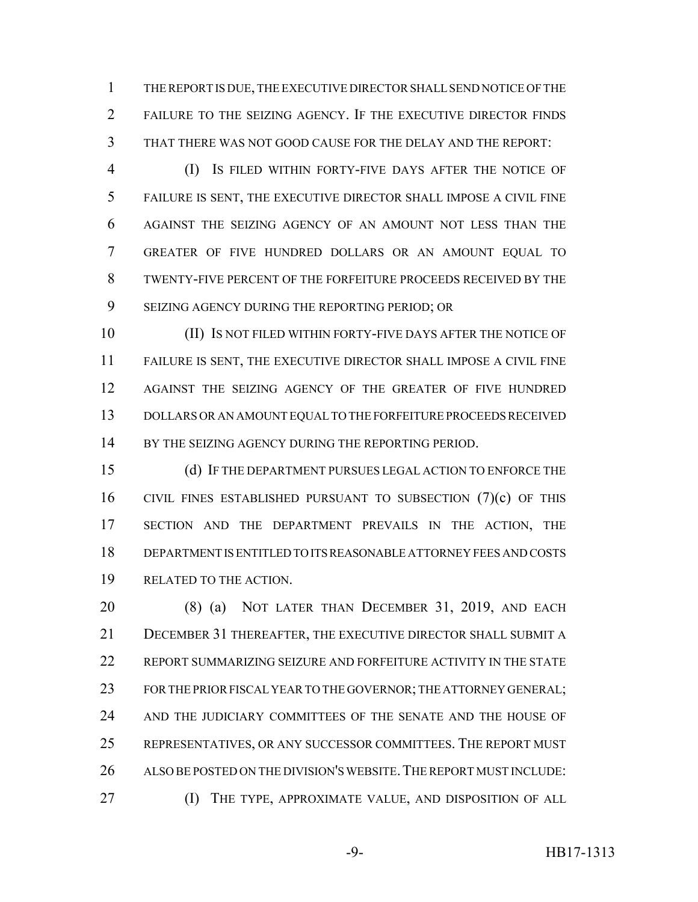THE REPORT IS DUE, THE EXECUTIVE DIRECTOR SHALL SEND NOTICE OF THE FAILURE TO THE SEIZING AGENCY. IF THE EXECUTIVE DIRECTOR FINDS THAT THERE WAS NOT GOOD CAUSE FOR THE DELAY AND THE REPORT:

 (I) IS FILED WITHIN FORTY-FIVE DAYS AFTER THE NOTICE OF FAILURE IS SENT, THE EXECUTIVE DIRECTOR SHALL IMPOSE A CIVIL FINE AGAINST THE SEIZING AGENCY OF AN AMOUNT NOT LESS THAN THE GREATER OF FIVE HUNDRED DOLLARS OR AN AMOUNT EQUAL TO TWENTY-FIVE PERCENT OF THE FORFEITURE PROCEEDS RECEIVED BY THE SEIZING AGENCY DURING THE REPORTING PERIOD; OR

 (II) IS NOT FILED WITHIN FORTY-FIVE DAYS AFTER THE NOTICE OF FAILURE IS SENT, THE EXECUTIVE DIRECTOR SHALL IMPOSE A CIVIL FINE AGAINST THE SEIZING AGENCY OF THE GREATER OF FIVE HUNDRED DOLLARS OR AN AMOUNT EQUAL TO THE FORFEITURE PROCEEDS RECEIVED 14 BY THE SEIZING AGENCY DURING THE REPORTING PERIOD.

 (d) IF THE DEPARTMENT PURSUES LEGAL ACTION TO ENFORCE THE CIVIL FINES ESTABLISHED PURSUANT TO SUBSECTION (7)(c) OF THIS SECTION AND THE DEPARTMENT PREVAILS IN THE ACTION, THE DEPARTMENT IS ENTITLED TO ITS REASONABLE ATTORNEY FEES AND COSTS RELATED TO THE ACTION.

 (8) (a) NOT LATER THAN DECEMBER 31, 2019, AND EACH DECEMBER 31 THEREAFTER, THE EXECUTIVE DIRECTOR SHALL SUBMIT A REPORT SUMMARIZING SEIZURE AND FORFEITURE ACTIVITY IN THE STATE 23 FOR THE PRIOR FISCAL YEAR TO THE GOVERNOR; THE ATTORNEY GENERAL; AND THE JUDICIARY COMMITTEES OF THE SENATE AND THE HOUSE OF REPRESENTATIVES, OR ANY SUCCESSOR COMMITTEES. THE REPORT MUST 26 ALSO BE POSTED ON THE DIVISION'S WEBSITE. THE REPORT MUST INCLUDE: (I) THE TYPE, APPROXIMATE VALUE, AND DISPOSITION OF ALL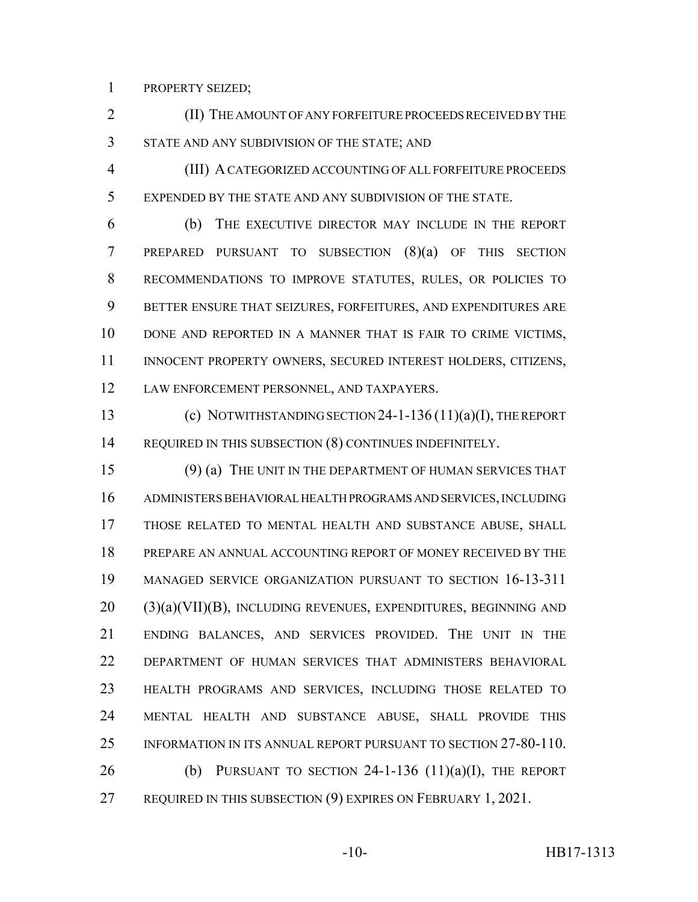PROPERTY SEIZED;

 (II) THE AMOUNT OF ANY FORFEITURE PROCEEDS RECEIVED BY THE STATE AND ANY SUBDIVISION OF THE STATE; AND

 (III) A CATEGORIZED ACCOUNTING OF ALL FORFEITURE PROCEEDS EXPENDED BY THE STATE AND ANY SUBDIVISION OF THE STATE.

 (b) THE EXECUTIVE DIRECTOR MAY INCLUDE IN THE REPORT PREPARED PURSUANT TO SUBSECTION (8)(a) OF THIS SECTION RECOMMENDATIONS TO IMPROVE STATUTES, RULES, OR POLICIES TO BETTER ENSURE THAT SEIZURES, FORFEITURES, AND EXPENDITURES ARE DONE AND REPORTED IN A MANNER THAT IS FAIR TO CRIME VICTIMS, 11 INNOCENT PROPERTY OWNERS, SECURED INTEREST HOLDERS, CITIZENS, LAW ENFORCEMENT PERSONNEL, AND TAXPAYERS.

 (c) NOTWITHSTANDING SECTION 24-1-136 (11)(a)(I), THE REPORT 14 REQUIRED IN THIS SUBSECTION (8) CONTINUES INDEFINITELY.

 (9) (a) THE UNIT IN THE DEPARTMENT OF HUMAN SERVICES THAT ADMINISTERS BEHAVIORAL HEALTH PROGRAMS AND SERVICES, INCLUDING THOSE RELATED TO MENTAL HEALTH AND SUBSTANCE ABUSE, SHALL PREPARE AN ANNUAL ACCOUNTING REPORT OF MONEY RECEIVED BY THE MANAGED SERVICE ORGANIZATION PURSUANT TO SECTION 16-13-311 (3)(a)(VII)(B), INCLUDING REVENUES, EXPENDITURES, BEGINNING AND ENDING BALANCES, AND SERVICES PROVIDED. THE UNIT IN THE DEPARTMENT OF HUMAN SERVICES THAT ADMINISTERS BEHAVIORAL HEALTH PROGRAMS AND SERVICES, INCLUDING THOSE RELATED TO MENTAL HEALTH AND SUBSTANCE ABUSE, SHALL PROVIDE THIS INFORMATION IN ITS ANNUAL REPORT PURSUANT TO SECTION 27-80-110. 26 (b) PURSUANT TO SECTION -1-136  $(11)(a)(I)$ , THE REPORT REQUIRED IN THIS SUBSECTION (9) EXPIRES ON FEBRUARY 1, 2021.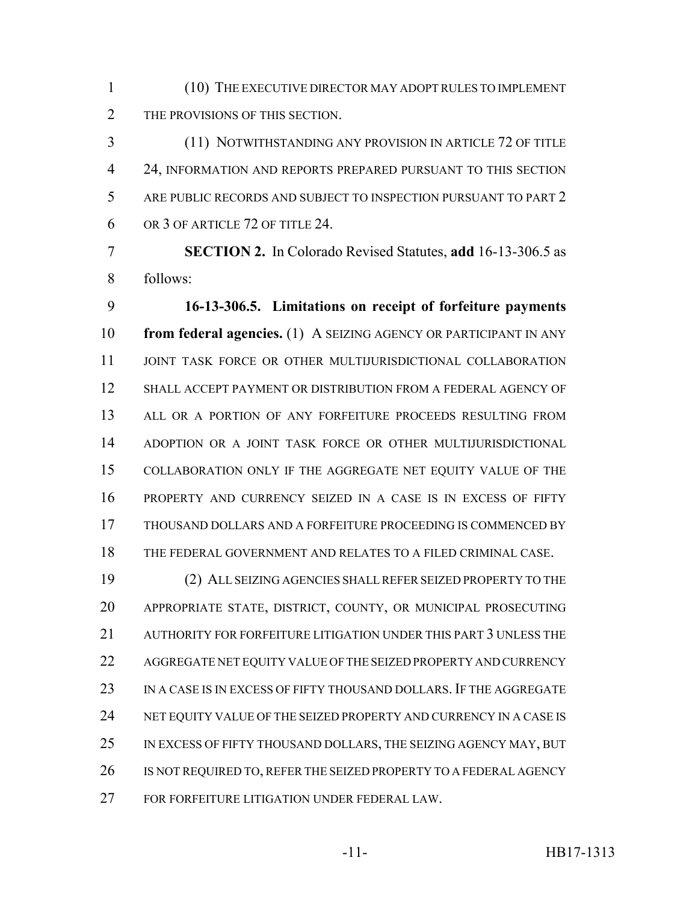(10) THE EXECUTIVE DIRECTOR MAY ADOPT RULES TO IMPLEMENT THE PROVISIONS OF THIS SECTION.

 (11) NOTWITHSTANDING ANY PROVISION IN ARTICLE 72 OF TITLE 24, INFORMATION AND REPORTS PREPARED PURSUANT TO THIS SECTION ARE PUBLIC RECORDS AND SUBJECT TO INSPECTION PURSUANT TO PART 2 OR 3 OF ARTICLE 72 OF TITLE 24.

 **SECTION 2.** In Colorado Revised Statutes, **add** 16-13-306.5 as follows:

 **16-13-306.5. Limitations on receipt of forfeiture payments from federal agencies.** (1) A SEIZING AGENCY OR PARTICIPANT IN ANY JOINT TASK FORCE OR OTHER MULTIJURISDICTIONAL COLLABORATION SHALL ACCEPT PAYMENT OR DISTRIBUTION FROM A FEDERAL AGENCY OF 13 ALL OR A PORTION OF ANY FORFEITURE PROCEEDS RESULTING FROM ADOPTION OR A JOINT TASK FORCE OR OTHER MULTIJURISDICTIONAL COLLABORATION ONLY IF THE AGGREGATE NET EQUITY VALUE OF THE PROPERTY AND CURRENCY SEIZED IN A CASE IS IN EXCESS OF FIFTY THOUSAND DOLLARS AND A FORFEITURE PROCEEDING IS COMMENCED BY THE FEDERAL GOVERNMENT AND RELATES TO A FILED CRIMINAL CASE.

 (2) ALL SEIZING AGENCIES SHALL REFER SEIZED PROPERTY TO THE APPROPRIATE STATE, DISTRICT, COUNTY, OR MUNICIPAL PROSECUTING AUTHORITY FOR FORFEITURE LITIGATION UNDER THIS PART 3 UNLESS THE AGGREGATE NET EQUITY VALUE OF THE SEIZED PROPERTY AND CURRENCY IN A CASE IS IN EXCESS OF FIFTY THOUSAND DOLLARS. IF THE AGGREGATE 24 NET EQUITY VALUE OF THE SEIZED PROPERTY AND CURRENCY IN A CASE IS IN EXCESS OF FIFTY THOUSAND DOLLARS, THE SEIZING AGENCY MAY, BUT 26 IS NOT REQUIRED TO, REFER THE SEIZED PROPERTY TO A FEDERAL AGENCY FOR FORFEITURE LITIGATION UNDER FEDERAL LAW.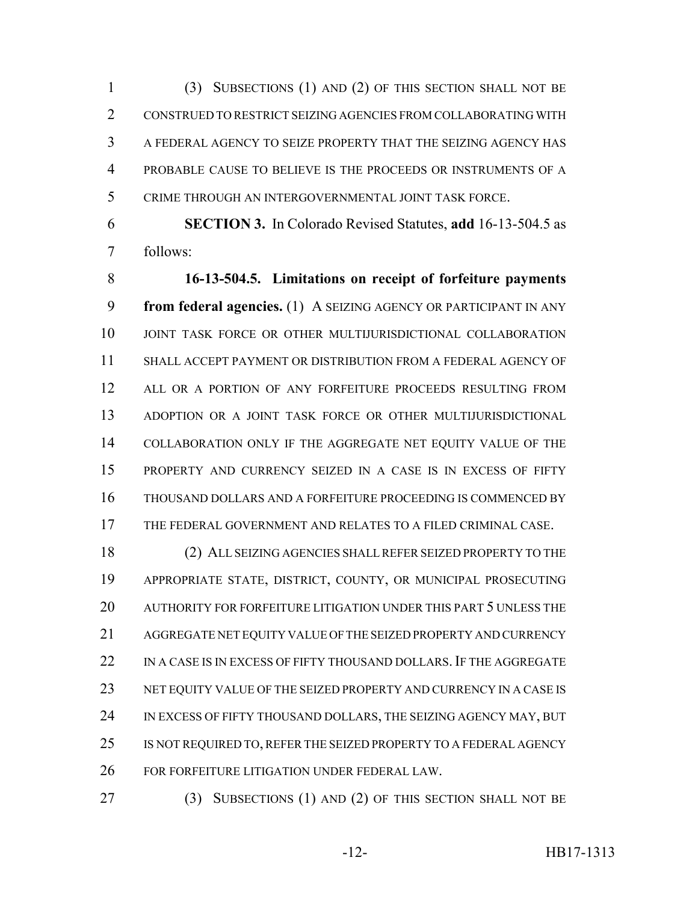(3) SUBSECTIONS (1) AND (2) OF THIS SECTION SHALL NOT BE CONSTRUED TO RESTRICT SEIZING AGENCIES FROM COLLABORATING WITH A FEDERAL AGENCY TO SEIZE PROPERTY THAT THE SEIZING AGENCY HAS PROBABLE CAUSE TO BELIEVE IS THE PROCEEDS OR INSTRUMENTS OF A CRIME THROUGH AN INTERGOVERNMENTAL JOINT TASK FORCE.

 **SECTION 3.** In Colorado Revised Statutes, **add** 16-13-504.5 as follows:

 **16-13-504.5. Limitations on receipt of forfeiture payments from federal agencies.** (1) A SEIZING AGENCY OR PARTICIPANT IN ANY JOINT TASK FORCE OR OTHER MULTIJURISDICTIONAL COLLABORATION SHALL ACCEPT PAYMENT OR DISTRIBUTION FROM A FEDERAL AGENCY OF 12 ALL OR A PORTION OF ANY FORFEITURE PROCEEDS RESULTING FROM ADOPTION OR A JOINT TASK FORCE OR OTHER MULTIJURISDICTIONAL COLLABORATION ONLY IF THE AGGREGATE NET EQUITY VALUE OF THE PROPERTY AND CURRENCY SEIZED IN A CASE IS IN EXCESS OF FIFTY THOUSAND DOLLARS AND A FORFEITURE PROCEEDING IS COMMENCED BY THE FEDERAL GOVERNMENT AND RELATES TO A FILED CRIMINAL CASE.

 (2) ALL SEIZING AGENCIES SHALL REFER SEIZED PROPERTY TO THE APPROPRIATE STATE, DISTRICT, COUNTY, OR MUNICIPAL PROSECUTING AUTHORITY FOR FORFEITURE LITIGATION UNDER THIS PART 5 UNLESS THE AGGREGATE NET EQUITY VALUE OF THE SEIZED PROPERTY AND CURRENCY 22 IN A CASE IS IN EXCESS OF FIFTY THOUSAND DOLLARS. IF THE AGGREGATE 23 NET EQUITY VALUE OF THE SEIZED PROPERTY AND CURRENCY IN A CASE IS 24 IN EXCESS OF FIFTY THOUSAND DOLLARS, THE SEIZING AGENCY MAY, BUT 25 IS NOT REQUIRED TO, REFER THE SEIZED PROPERTY TO A FEDERAL AGENCY FOR FORFEITURE LITIGATION UNDER FEDERAL LAW.

(3) SUBSECTIONS (1) AND (2) OF THIS SECTION SHALL NOT BE